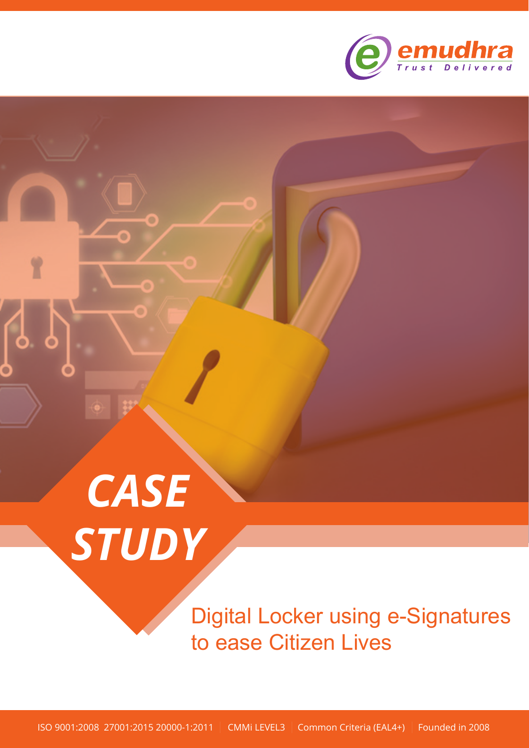

# *CASE STUDY*

Digital Locker using e-Signatures to ease Citizen Lives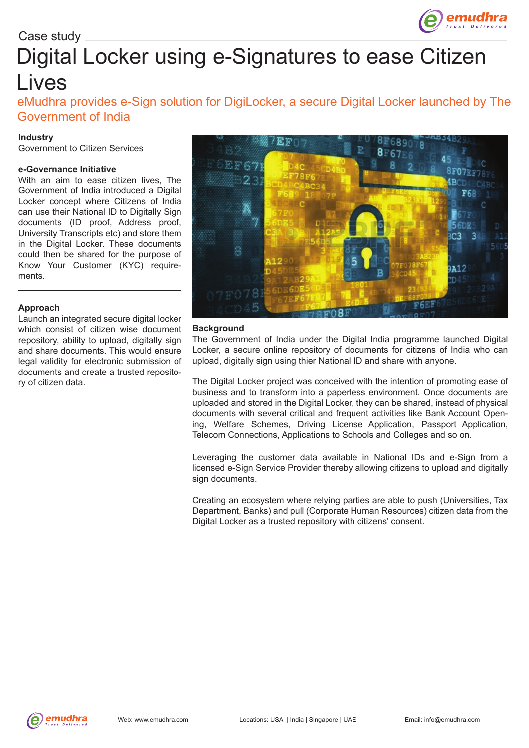

# Digital Locker using e-Signatures to ease Citizen Lives

eMudhra provides e-Sign solution for DigiLocker, a secure Digital Locker launched by The Government of India

# **Industry**

Government to Citizen Services

### **e-Governance Initiative**

With an aim to ease citizen lives, The Government of India introduced a Digital Locker concept where Citizens of India can use their National ID to Digitally Sign documents (ID proof, Address proof, University Transcripts etc) and store them in the Digital Locker. These documents could then be shared for the purpose of Know Your Customer (KYC) requirements.

# **Approach**

Launch an integrated secure digital locker which consist of citizen wise document repository, ability to upload, digitally sign and share documents. This would ensure legal validity for electronic submission of documents and create a trusted repository of citizen data.



### **Background**

The Government of India under the Digital India programme launched Digital Locker, a secure online repository of documents for citizens of India who can upload, digitally sign using thier National ID and share with anyone.

The Digital Locker project was conceived with the intention of promoting ease of business and to transform into a paperless environment. Once documents are uploaded and stored in the Digital Locker, they can be shared, instead of physical documents with several critical and frequent activities like Bank Account Opening, Welfare Schemes, Driving License Application, Passport Application, Telecom Connections, Applications to Schools and Colleges and so on.

Leveraging the customer data available in National IDs and e-Sign from a licensed e-Sign Service Provider thereby allowing citizens to upload and digitally sign documents.

Creating an ecosystem where relying parties are able to push (Universities, Tax Department, Banks) and pull (Corporate Human Resources) citizen data from the Digital Locker as a trusted repository with citizens' consent.

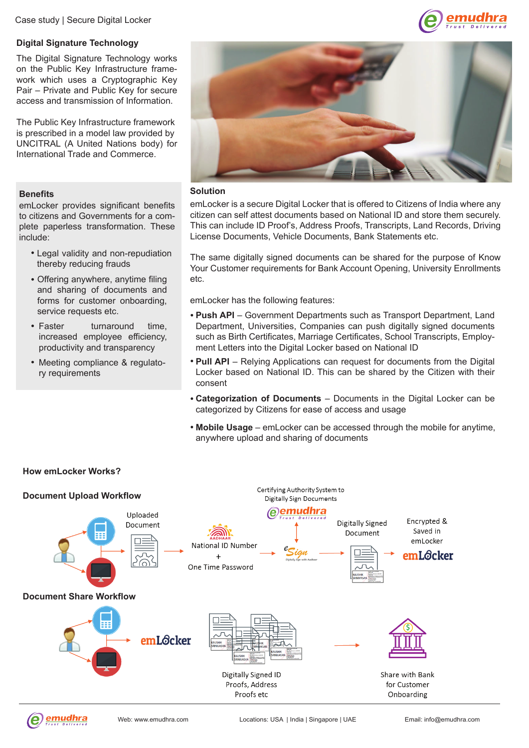Case study | Secure Digital Locker

# **Digital Signature Technology**

The Digital Signature Technology works on the Public Key Infrastructure framework which uses a Cryptographic Key Pair – Private and Public Key for secure access and transmission of Information.

The Public Key Infrastructure framework is prescribed in a model law provided by UNCITRAL (A United Nations body) for International Trade and Commerce.

# **Benefits**

emLocker provides significant benefits to citizens and Governments for a complete paperless transformation. These include:

- Legal validity and non-repudiation thereby reducing frauds
- Offering anywhere, anytime filing and sharing of documents and forms for customer onboarding, service requests etc.
- Faster turnaround time. increased employee efficiency, productivity and transparency
- Meeting compliance & regulatory requirements





### **Solution**

emLocker is a secure Digital Locker that is offered to Citizens of India where any citizen can self attest documents based on National ID and store them securely. This can include ID Proof's, Address Proofs, Transcripts, Land Records, Driving License Documents, Vehicle Documents, Bank Statements etc.

The same digitally signed documents can be shared for the purpose of Know Your Customer requirements for Bank Account Opening, University Enrollments etc.

emLocker has the following features:

- **Push API**  Government Departments such as Transport Department, Land Department, Universities, Companies can push digitally signed documents such as Birth Certificates, Marriage Certificates, School Transcripts, Employment Letters into the Digital Locker based on National ID
- **Pull API** Relying Applications can request for documents from the Digital Locker based on National ID. This can be shared by the Citizen with their consent
- **Categorization of Documents** Documents in the Digital Locker can be categorized by Citizens for ease of access and usage
- **Mobile Usage**  emLocker can be accessed through the mobile for anytime, anywhere upload and sharing of documents



# **How emLocker Works?**